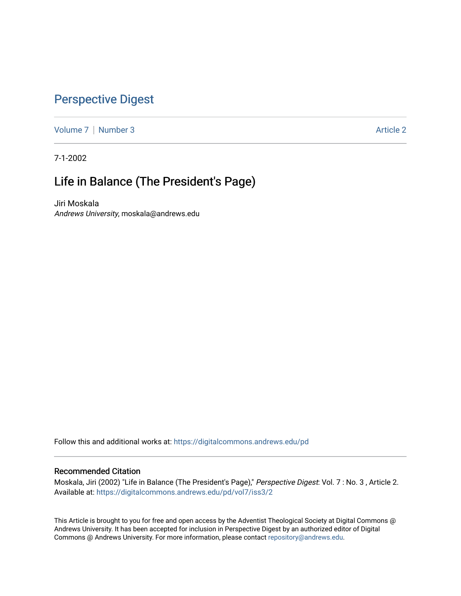## [Perspective Digest](https://digitalcommons.andrews.edu/pd)

[Volume 7](https://digitalcommons.andrews.edu/pd/vol7) | [Number 3](https://digitalcommons.andrews.edu/pd/vol7/iss3) Article 2

7-1-2002

# Life in Balance (The President's Page)

Jiri Moskala Andrews University, moskala@andrews.edu

Follow this and additional works at: [https://digitalcommons.andrews.edu/pd](https://digitalcommons.andrews.edu/pd?utm_source=digitalcommons.andrews.edu%2Fpd%2Fvol7%2Fiss3%2F2&utm_medium=PDF&utm_campaign=PDFCoverPages)

## Recommended Citation

Moskala, Jiri (2002) "Life in Balance (The President's Page)," Perspective Digest: Vol. 7 : No. 3 , Article 2. Available at: [https://digitalcommons.andrews.edu/pd/vol7/iss3/2](https://digitalcommons.andrews.edu/pd/vol7/iss3/2?utm_source=digitalcommons.andrews.edu%2Fpd%2Fvol7%2Fiss3%2F2&utm_medium=PDF&utm_campaign=PDFCoverPages)

This Article is brought to you for free and open access by the Adventist Theological Society at Digital Commons @ Andrews University. It has been accepted for inclusion in Perspective Digest by an authorized editor of Digital Commons @ Andrews University. For more information, please contact [repository@andrews.edu.](mailto:repository@andrews.edu)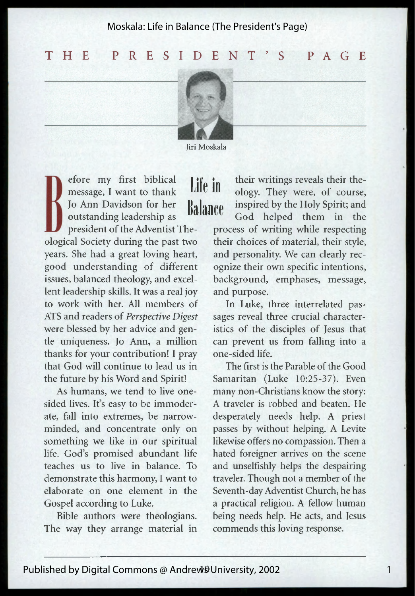T H E P R E S I D E N T ' S P A G E



Jiri Moskala

efore my first biblical message, I want to thank Jo Ann Davidson for her outstanding leadership as president of the Adventist Theological Society during the past two years. She had a great loving heart, good understanding of different issues, balanced theology, and excellent leadership skills. It was a real joy to work with her. All members of ATS and readers of *Perspective Digest* were blessed by her advice and gentle uniqueness. Jo Ann, a million thanks for your contribution! I pray that God will continue to lead us in the future by his Word and Spirit! **Life in Balance**

As humans, we tend to live onesided lives. It's easy to be immoderate, fall into extremes, be narrowminded, and concentrate only on something we like in our spiritual life. God's promised abundant life teaches us to live in balance. To demonstrate this harmony, I want to elaborate on one element in the Gospel according to Luke.

Bible authors were theologians. The way they arrange material in

their writings reveals their theology. They were, of course, inspired by the Holy Spirit; and God helped them in the process of writing while respecting their choices of material, their style, and personality. We can clearly recognize their own specific intentions, background, emphases, message, and purpose.

In Luke, three interrelated passages reveal three crucial characteristics of the disciples of Jesus that can prevent us from falling into a one-sided life.

The first is the Parable of the Good Samaritan (Luke 10:25-37). Even many non-Christians know the story: A traveler is robbed and beaten. He desperately needs help. A priest passes by without helping. A Levite likewise offers no compassion. Then a hated foreigner arrives on the scene and unselfishly helps the despairing traveler. Though not a member of the Seventh-day Adventist Church, he has a practical religion. A fellow human being needs help. He acts, and Jesus commends this loving response.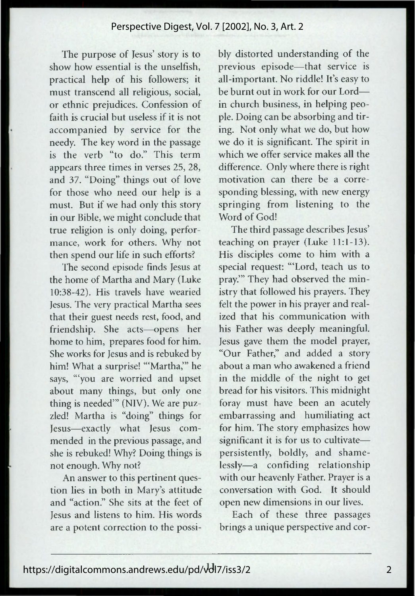The purpose of Jesus' story is to show how essential is the unselfish, practical help of his followers; it must transcend all religious, social, or ethnic prejudices. Confession of faith is crucial but useless if it is not accompanied by service for the needy. The key word in the passage is the verb "to do." This term appears three times in verses 25, 28, and 37. "Doing" things out of love for those who need our help is a must. But if we had only this story in our Bible, we might conclude that true religion is only doing, performance, work for others. Why not then spend our life in such efforts?

The second episode finds Jesus at the home of Martha and Mary (Luke 10:38-42). His travels have wearied Jesus. The very practical Martha sees that their guest needs rest, food, and friendship. She acts—opens her home to him, prepares food for him. She works for Jesus and is rebuked by him! What a surprise! "'Martha,'" he says, "'you are worried and upset about many things, but only one thing is needed'" (NIV). We are puzzled! Martha is "doing" things for Jesus—exactly what Jesus commended in the previous passage, and she is rebuked! Why? Doing things is not enough. Why not?

An answer to this pertinent question lies in both in Mary's attitude and "action." She sits at the feet of Jesus and listens to him. His words are a potent correction to the possibly distorted understanding of the previous episode—that service is all-important. No riddle! It's easy to be burnt out in work for our Lord in church business, in helping people. Doing can be absorbing and tiring. Not only what we do, but how we do it is significant. The spirit in which we offer service makes all the difference. Only where there is right motivation can there be a corresponding blessing, with new energy springing from listening to the Word of God!

The third passage describes Jesus' teaching on prayer (Luke 11:1-13). His disciples come to him with a special request: "'Lord, teach us to pray.'" They had observed the ministry that followed his prayers. They felt the power in his prayer and realized that his communication with his Father was deeply meaningful. Jesus gave them the model prayer, "Our Father," and added a story about a man who awakened a friend in the middle of the night to get bread for his visitors. This midnight foray must have been an acutely embarrassing and humiliating act for him. The story emphasizes how significant it is for us to cultivate persistently, boldly, and shamelessly—a confiding relationship with our heavenly Father. Prayer is a conversation with God. It should open new dimensions in our lives.

Each of these three passages brings a unique perspective and cor-